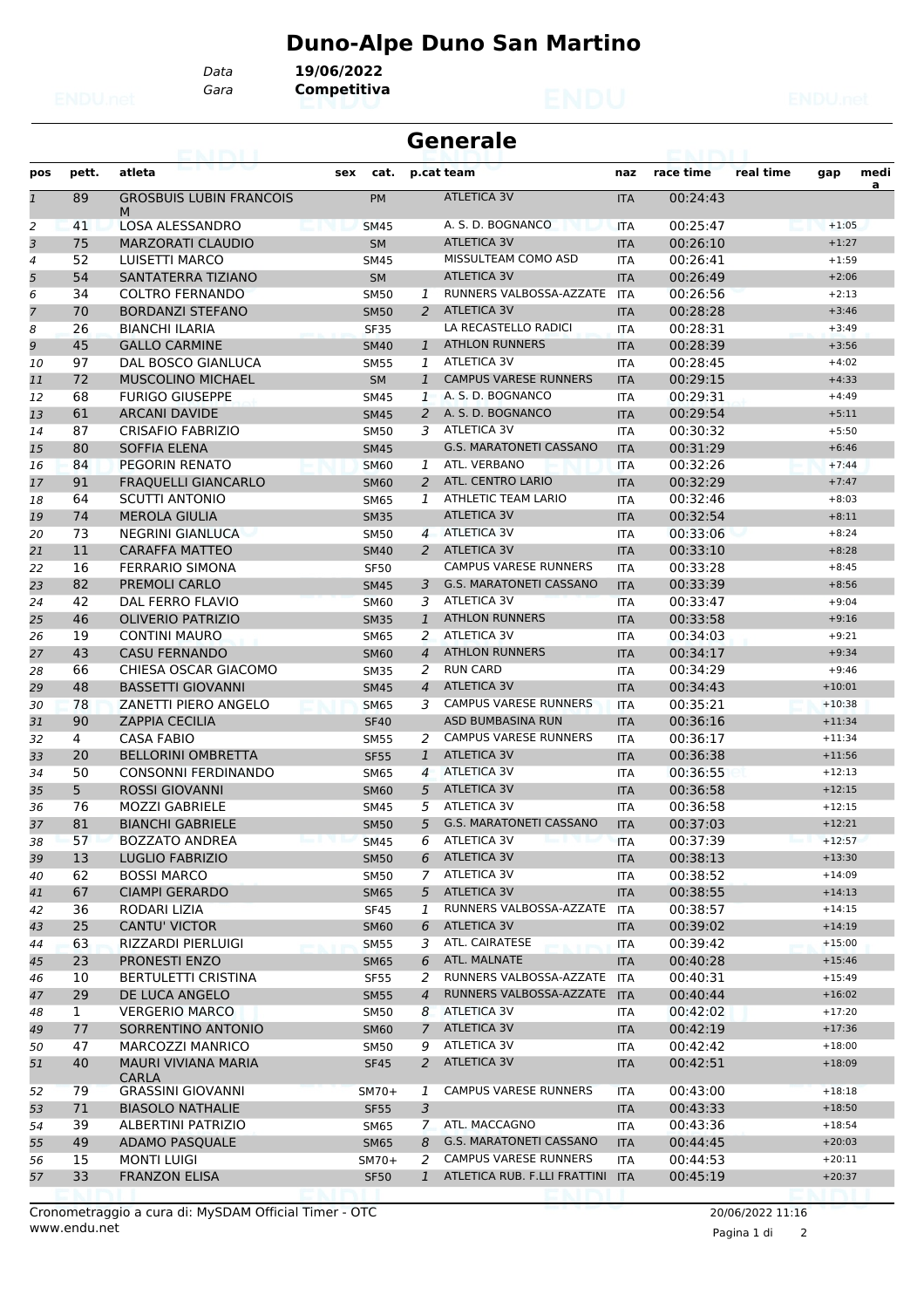## **Duno-Alpe Duno San Martino**

*Data* **19/06/2022**

*Gara* **Competitiva**

|              |              | ava reva                            |     |             | <b>Generale</b> |                                  |            |           |           |          |      |
|--------------|--------------|-------------------------------------|-----|-------------|-----------------|----------------------------------|------------|-----------|-----------|----------|------|
| pos          | pett.        | atleta                              | sex | cat.        |                 | p.cat team                       | naz        | race time | real time | gap      | medi |
| $\mathbf{1}$ | 89           | <b>GROSBUIS LUBIN FRANCOIS</b><br>M |     | <b>PM</b>   |                 | <b>ATLETICA 3V</b>               | <b>ITA</b> | 00:24:43  |           |          | a    |
| 2            | 41           | <b>LOSA ALESSANDRO</b>              |     | <b>SM45</b> |                 | A. S. D. BOGNANCO                | <b>ITA</b> | 00:25:47  |           | $+1:05$  |      |
| 3            | 75           | <b>MARZORATI CLAUDIO</b>            |     | <b>SM</b>   |                 | <b>ATLETICA 3V</b>               | <b>ITA</b> | 00:26:10  |           | $+1:27$  |      |
| 4            | 52           | LUISETTI MARCO                      |     | <b>SM45</b> |                 | MISSULTEAM COMO ASD              | <b>ITA</b> | 00:26:41  |           | $+1:59$  |      |
| 5            | 54           | SANTATERRA TIZIANO                  |     | <b>SM</b>   |                 | <b>ATLETICA 3V</b>               | <b>ITA</b> | 00:26:49  |           | $+2:06$  |      |
| 6            | 34           | <b>COLTRO FERNANDO</b>              |     | <b>SM50</b> | 1               | RUNNERS VALBOSSA-AZZATE          | <b>ITA</b> | 00:26:56  |           | $+2:13$  |      |
| 7            | 70           | <b>BORDANZI STEFANO</b>             |     | <b>SM50</b> | 2               | <b>ATLETICA 3V</b>               | <b>ITA</b> | 00:28:28  |           | $+3:46$  |      |
| 8            | 26           | <b>BIANCHI ILARIA</b>               |     | <b>SF35</b> |                 | LA RECASTELLO RADICI             | <b>ITA</b> | 00:28:31  |           | $+3:49$  |      |
| 9            | 45           | <b>GALLO CARMINE</b>                |     | <b>SM40</b> | $\mathbf{1}$    | <b>ATHLON RUNNERS</b>            | <b>ITA</b> | 00:28:39  |           | $+3:56$  |      |
| 10           | 97           | DAL BOSCO GIANLUCA                  |     | <b>SM55</b> | 1               | <b>ATLETICA 3V</b>               | <b>ITA</b> | 00:28:45  |           | $+4:02$  |      |
| 11           | 72           | MUSCOLINO MICHAEL                   |     | <b>SM</b>   | $\mathbf{1}$    | <b>CAMPUS VARESE RUNNERS</b>     | <b>ITA</b> | 00:29:15  |           | $+4:33$  |      |
| 12           | 68           | <b>FURIGO GIUSEPPE</b>              |     | <b>SM45</b> | $\mathbf{1}$    | A. S. D. BOGNANCO                | <b>ITA</b> | 00:29:31  |           | $+4:49$  |      |
| 13           | 61           | <b>ARCANI DAVIDE</b>                |     | <b>SM45</b> | $\overline{2}$  | A. S. D. BOGNANCO                | <b>ITA</b> | 00:29:54  |           | $+5:11$  |      |
| 14           | 87           | <b>CRISAFIO FABRIZIO</b>            |     | SM50        | 3               | ATLETICA 3V                      | <b>ITA</b> | 00:30:32  |           | $+5:50$  |      |
| 15           | 80           | <b>SOFFIA ELENA</b>                 |     | <b>SM45</b> |                 | <b>G.S. MARATONETI CASSANO</b>   | <b>ITA</b> | 00:31:29  |           | $+6:46$  |      |
| 16           | 84           | PEGORIN RENATO                      |     | <b>SM60</b> | 1               | ATL. VERBANO                     | <b>ITA</b> | 00:32:26  |           | $+7:44$  |      |
| 17           | 91           | <b>FRAQUELLI GIANCARLO</b>          |     | <b>SM60</b> | 2               | <b>ATL. CENTRO LARIO</b>         | <b>ITA</b> | 00:32:29  |           | $+7:47$  |      |
| 18           | 64           | <b>SCUTTI ANTONIO</b>               |     | <b>SM65</b> | 1               | <b>ATHLETIC TEAM LARIO</b>       | <b>ITA</b> | 00:32:46  |           | $+8:03$  |      |
| 19           | 74           | <b>MEROLA GIULIA</b>                |     | <b>SM35</b> |                 | <b>ATLETICA 3V</b>               | <b>ITA</b> | 00:32:54  |           | $+8:11$  |      |
| 20           | 73           | NEGRINI GIANLUCA                    |     | SM50        |                 | 4 ATLETICA 3V                    | <b>ITA</b> | 00:33:06  |           | $+8:24$  |      |
| 21           | 11           | <b>CARAFFA MATTEO</b>               |     | <b>SM40</b> | 2               | <b>ATLETICA 3V</b>               | <b>ITA</b> | 00:33:10  |           | $+8:28$  |      |
| 22           | 16           | <b>FERRARIO SIMONA</b>              |     | <b>SF50</b> |                 | <b>CAMPUS VARESE RUNNERS</b>     | <b>ITA</b> | 00:33:28  |           | $+8:45$  |      |
| 23           | 82           | PREMOLI CARLO                       |     | <b>SM45</b> | 3               | <b>G.S. MARATONETI CASSANO</b>   | <b>ITA</b> | 00:33:39  |           | $+8:56$  |      |
| 24           | 42           | DAL FERRO FLAVIO                    |     | <b>SM60</b> | 3               | ATLETICA 3V                      | <b>ITA</b> | 00:33:47  |           | $+9:04$  |      |
| 25           | 46           | <b>OLIVERIO PATRIZIO</b>            |     | <b>SM35</b> | $\mathbf{1}$    | <b>ATHLON RUNNERS</b>            | <b>ITA</b> | 00:33:58  |           | $+9:16$  |      |
| 26           | 19           | <b>CONTINI MAURO</b>                |     | <b>SM65</b> | 2               | <b>ATLETICA 3V</b>               | ITA        | 00:34:03  |           | $+9:21$  |      |
| 27           | 43           | <b>CASU FERNANDO</b>                |     | <b>SM60</b> | 4               | <b>ATHLON RUNNERS</b>            | <b>ITA</b> | 00:34:17  |           | $+9:34$  |      |
| 28           | 66           | CHIESA OSCAR GIACOMO                |     | <b>SM35</b> | 2               | <b>RUN CARD</b>                  | <b>ITA</b> | 00:34:29  |           | $+9:46$  |      |
| 29           | 48           | <b>BASSETTI GIOVANNI</b>            |     | <b>SM45</b> | 4               | <b>ATLETICA 3V</b>               | <b>ITA</b> | 00:34:43  |           | $+10:01$ |      |
| 30           | 78           | ZANETTI PIERO ANGELO                |     | <b>SM65</b> | 3               | <b>CAMPUS VARESE RUNNERS</b>     | <b>ITA</b> | 00:35:21  |           | $+10:38$ |      |
| 31           | 90           | <b>ZAPPIA CECILIA</b>               |     | <b>SF40</b> |                 | <b>ASD BUMBASINA RUN</b>         | <b>ITA</b> | 00:36:16  |           | $+11:34$ |      |
| 32           | 4            | <b>CASA FABIO</b>                   |     | SM55        |                 | 2 CAMPUS VARESE RUNNERS          | <b>ITA</b> | 00:36:17  |           | $+11:34$ |      |
| 33           | 20           | <b>BELLORINI OMBRETTA</b>           |     | <b>SF55</b> | $\mathbf{1}$    | <b>ATLETICA 3V</b>               | <b>ITA</b> | 00:36:38  |           | $+11:56$ |      |
| 34           | 50           | <b>CONSONNI FERDINANDO</b>          |     | <b>SM65</b> | $\overline{4}$  | <b>ATLETICA 3V</b>               | ITA        | 00:36:55  |           | $+12:13$ |      |
| 35           | 5            | <b>ROSSI GIOVANNI</b>               |     | <b>SM60</b> | 5               | <b>ATLETICA 3V</b>               | <b>ITA</b> | 00:36:58  |           | $+12:15$ |      |
| 36           | 76           | <b>MOZZI GABRIELE</b>               |     | <b>SM45</b> | 5               | <b>ATLETICA 3V</b>               | <b>ITA</b> | 00:36:58  |           | $+12:15$ |      |
| 37           | 81           | <b>BIANCHI GABRIELE</b>             |     | <b>SM50</b> | 5               | <b>G.S. MARATONETI CASSANO</b>   | <b>ITA</b> | 00:37:03  |           | $+12:21$ |      |
| 38           | 57           | <b>BOZZATO ANDREA</b>               |     | <b>SM45</b> |                 | 6 ATLETICA 3V                    | <b>ITA</b> | 00:37:39  |           | $+12:57$ |      |
| 39           | 13           | <b>LUGLIO FABRIZIO</b>              |     | <b>SM50</b> | 6               | <b>ATLETICA 3V</b>               | <b>ITA</b> | 00:38:13  |           | $+13:30$ |      |
| 40           | 62           | <b>BOSSI MARCO</b>                  |     | <b>SM50</b> | 7               | ATLETICA 3V                      | ITA        | 00:38:52  |           | $+14:09$ |      |
| 41           | 67           | <b>CIAMPI GERARDO</b>               |     | <b>SM65</b> | 5               | ATLETICA 3V                      | <b>ITA</b> | 00:38:55  |           | $+14:13$ |      |
| 42           | 36           | RODARI LIZIA                        |     | <b>SF45</b> | 1               | RUNNERS VALBOSSA-AZZATE          | <b>ITA</b> | 00:38:57  |           | $+14:15$ |      |
| 43           | 25           | <b>CANTU' VICTOR</b>                |     | <b>SM60</b> | 6               | ATLETICA 3V                      | <b>ITA</b> | 00:39:02  |           | $+14:19$ |      |
| 44           | 63           | RIZZARDI PIERLUIGI                  |     | <b>SM55</b> | 3               | ATL. CAIRATESE                   | ITA        | 00:39:42  |           | $+15:00$ |      |
| 45           | 23           | <b>PRONESTI ENZO</b>                |     | <b>SM65</b> | 6               | ATL. MALNATE                     | <b>ITA</b> | 00:40:28  |           | $+15:46$ |      |
| 46           | 10           | <b>BERTULETTI CRISTINA</b>          |     | SF55        | 2               | RUNNERS VALBOSSA-AZZATE          | <b>ITA</b> | 00:40:31  |           | $+15:49$ |      |
| 47           | 29           | DE LUCA ANGELO                      |     | <b>SM55</b> | 4               | RUNNERS VALBOSSA-AZZATE          | <b>ITA</b> | 00:40:44  |           | $+16:02$ |      |
| 48           | $\mathbf{1}$ | <b>VERGERIO MARCO</b>               |     | SM50        | 8               | ATLETICA 3V                      | ITA        | 00:42:02  |           | $+17:20$ |      |
| 49           | 77           | SORRENTINO ANTONIO                  |     | <b>SM60</b> | $\mathcal{I}$   | ATLETICA 3V                      | <b>ITA</b> | 00:42:19  |           | $+17:36$ |      |
| 50           | 47           | MARCOZZI MANRICO                    |     | SM50        | 9               | <b>ATLETICA 3V</b>               | ITA        | 00:42:42  |           | $+18:00$ |      |
| 51           | 40           | MAURI VIVIANA MARIA<br><b>CARLA</b> |     | <b>SF45</b> | $\overline{a}$  | ATLETICA 3V                      | <b>ITA</b> | 00:42:51  |           | $+18:09$ |      |
| 52           | 79           | <b>GRASSINI GIOVANNI</b>            |     | $SM70+$     | 1               | <b>CAMPUS VARESE RUNNERS</b>     | <b>ITA</b> | 00:43:00  |           | $+18:18$ |      |
| 53           | 71           | <b>BIASOLO NATHALIE</b>             |     | <b>SF55</b> | 3               |                                  | <b>ITA</b> | 00:43:33  |           | $+18:50$ |      |
| 54           | 39           | ALBERTINI PATRIZIO                  |     | SM65        | $\mathcal{I}$   | ATL. MACCAGNO                    | ITA        | 00:43:36  |           | $+18:54$ |      |
| 55           | 49           | <b>ADAMO PASQUALE</b>               |     | <b>SM65</b> | 8               | G.S. MARATONETI CASSANO          | <b>ITA</b> | 00:44:45  |           | $+20:03$ |      |
| 56           | 15           | <b>MONTI LUIGI</b>                  |     | $SM70+$     | 2               | <b>CAMPUS VARESE RUNNERS</b>     | <b>ITA</b> | 00:44:53  |           | $+20:11$ |      |
| 57           | 33           | FRANZON ELISA                       |     | <b>SF50</b> | $\mathbf{1}$    | ATLETICA RUB. F.LLI FRATTINI ITA |            | 00:45:19  |           | $+20:37$ |      |
|              |              |                                     |     |             |                 |                                  |            |           |           |          |      |

Pagina 1 di 2